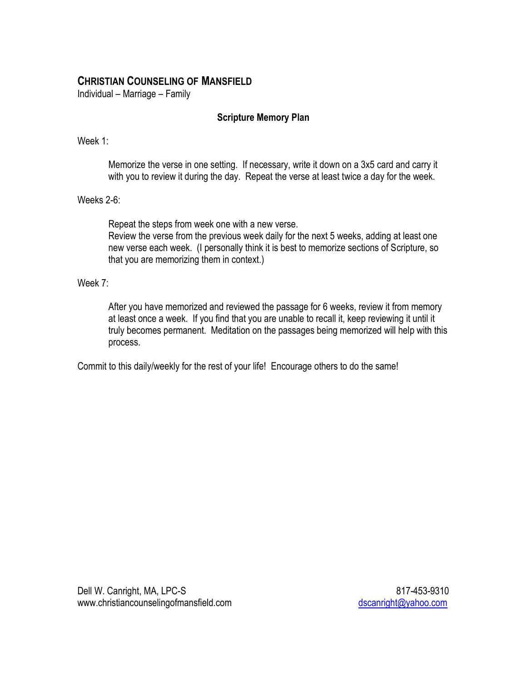# **CHRISTIAN COUNSELING OF MANSFIELD**

Individual – Marriage – Family

### **Scripture Memory Plan**

Week 1:

Memorize the verse in one setting. If necessary, write it down on a 3x5 card and carry it with you to review it during the day. Repeat the verse at least twice a day for the week.

Weeks 2-6:

Repeat the steps from week one with a new verse. Review the verse from the previous week daily for the next 5 weeks, adding at least one new verse each week. (I personally think it is best to memorize sections of Scripture, so that you are memorizing them in context.)

### Week 7:

After you have memorized and reviewed the passage for 6 weeks, review it from memory at least once a week. If you find that you are unable to recall it, keep reviewing it until it truly becomes permanent. Meditation on the passages being memorized will help with this process.

Commit to this daily/weekly for the rest of your life! Encourage others to do the same!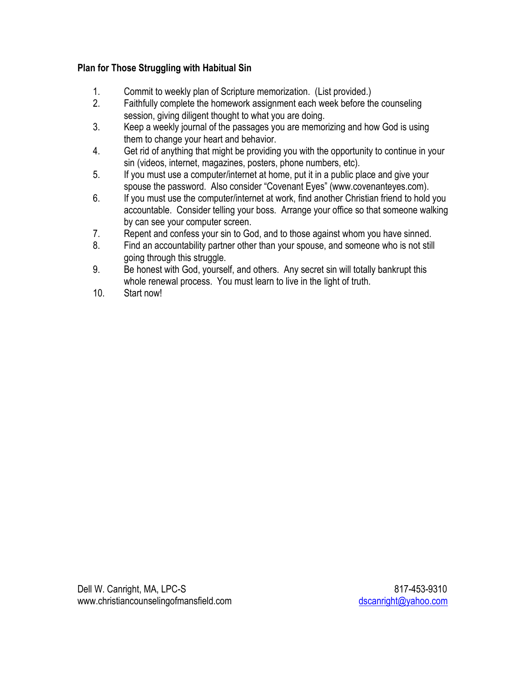# **Plan for Those Struggling with Habitual Sin**

- 1. Commit to weekly plan of Scripture memorization. (List provided.)
- 2. Faithfully complete the homework assignment each week before the counseling session, giving diligent thought to what you are doing.
- 3. Keep a weekly journal of the passages you are memorizing and how God is using them to change your heart and behavior.
- 4. Get rid of anything that might be providing you with the opportunity to continue in your sin (videos, internet, magazines, posters, phone numbers, etc).
- 5. If you must use a computer/internet at home, put it in a public place and give your spouse the password. Also consider "Covenant Eyes" (www.covenanteyes.com).
- 6. If you must use the computer/internet at work, find another Christian friend to hold you accountable. Consider telling your boss. Arrange your office so that someone walking by can see your computer screen.
- 7. Repent and confess your sin to God, and to those against whom you have sinned.
- 8. Find an accountability partner other than your spouse, and someone who is not still going through this struggle.
- 9. Be honest with God, yourself, and others. Any secret sin will totally bankrupt this whole renewal process. You must learn to live in the light of truth.
- 10. Start now!